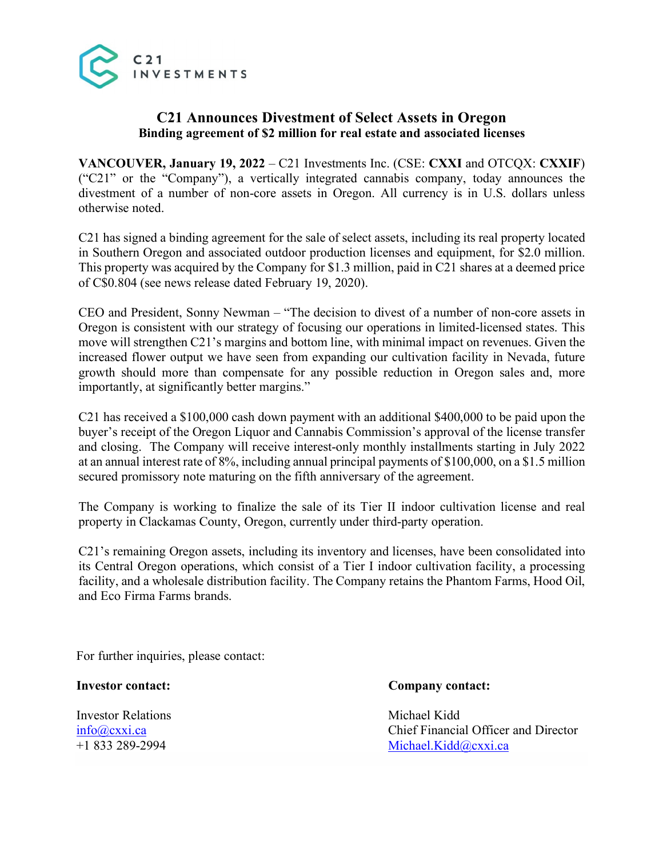

## **C21 Announces Divestment of Select Assets in Oregon Binding agreement of \$2 million for real estate and associated licenses**

**VANCOUVER, January 19, 2022** – C21 Investments Inc. (CSE: **CXXI** and OTCQX: **CXXIF**) ("C21" or the "Company"), a vertically integrated cannabis company, today announces the divestment of a number of non-core assets in Oregon. All currency is in U.S. dollars unless otherwise noted.

C21 has signed a binding agreement for the sale of select assets, including its real property located in Southern Oregon and associated outdoor production licenses and equipment, for \$2.0 million. This property was acquired by the Company for \$1.3 million, paid in C21 shares at a deemed price of C\$0.804 (see news release dated February 19, 2020).

CEO and President, Sonny Newman – "The decision to divest of a number of non-core assets in Oregon is consistent with our strategy of focusing our operations in limited-licensed states. This move will strengthen C21's margins and bottom line, with minimal impact on revenues. Given the increased flower output we have seen from expanding our cultivation facility in Nevada, future growth should more than compensate for any possible reduction in Oregon sales and, more importantly, at significantly better margins."

C21 has received a \$100,000 cash down payment with an additional \$400,000 to be paid upon the buyer's receipt of the Oregon Liquor and Cannabis Commission's approval of the license transfer and closing. The Company will receive interest-only monthly installments starting in July 2022 at an annual interest rate of 8%, including annual principal payments of \$100,000, on a \$1.5 million secured promissory note maturing on the fifth anniversary of the agreement.

The Company is working to finalize the sale of its Tier II indoor cultivation license and real property in Clackamas County, Oregon, currently under third-party operation.

C21's remaining Oregon assets, including its inventory and licenses, have been consolidated into its Central Oregon operations, which consist of a Tier I indoor cultivation facility, a processing facility, and a wholesale distribution facility. The Company retains the Phantom Farms, Hood Oil, and Eco Firma Farms brands.

For further inquiries, please contact:

Investor Relations Michael Kidd

**Investor contact: Company contact:**

info@cxxi.ca Chief Financial Officer and Director +1 833 289-2994 Michael.Kidd@cxxi.ca